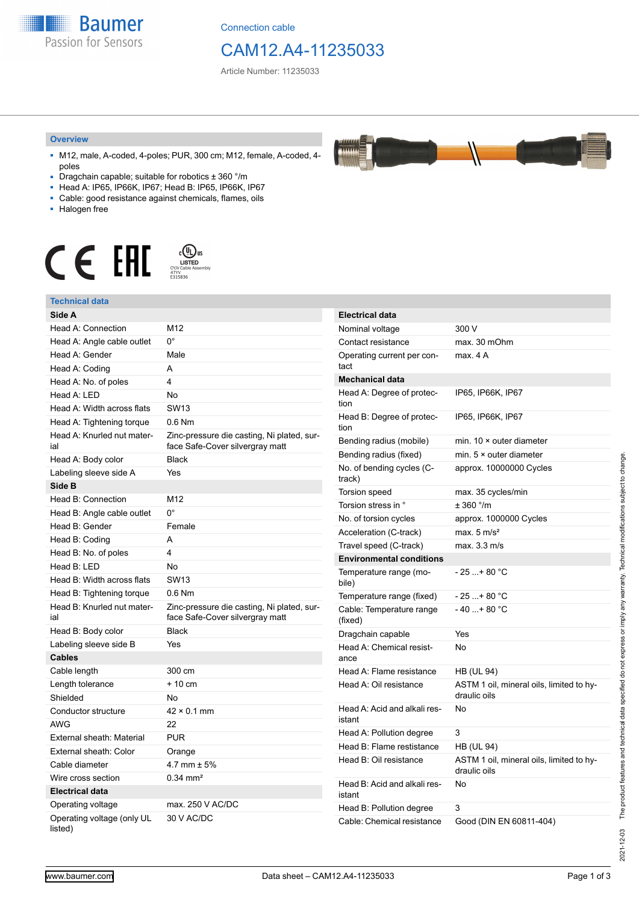**Baumer** Passion for Sensors

Connection cable

# CAM12.A4-11235033

**ELANA** 

Article Number: 11235033

### **Overview**

- M12, male, A-coded, 4-poles; PUR, 300 cm; M12, female, A-coded, 4 poles
- Dragchain capable; suitable for robotics ± 360 °/m
- Head A: IP65, IP66K, IP67; Head B: IP65, IP66K, IP67
- Cable: good resistance against chemicals, flames, oils
- Halogen free



### **Technical data**

| Technical data                        |                                                                               |                                        |                                          |
|---------------------------------------|-------------------------------------------------------------------------------|----------------------------------------|------------------------------------------|
| Side A                                |                                                                               | <b>Electrical data</b>                 |                                          |
| Head A: Connection                    | M12                                                                           | Nominal voltage                        | 300 V                                    |
| Head A: Angle cable outlet            | $0^{\circ}$                                                                   | Contact resistance                     | max. 30 mOhm                             |
| Head A: Gender                        | Male                                                                          | Operating current per con-<br>tact     | max. 4 A                                 |
| Head A: Coding                        | A                                                                             |                                        |                                          |
| Head A: No. of poles                  | 4                                                                             | <b>Mechanical data</b>                 |                                          |
| Head A: LED                           | No                                                                            | Head A: Degree of protec-              | IP65, IP66K, IP67                        |
| Head A: Width across flats            | SW <sub>13</sub>                                                              | tion                                   |                                          |
| Head A: Tightening torque             | 0.6 Nm                                                                        | Head B: Degree of protec-<br>tion      | IP65, IP66K, IP67                        |
| Head A: Knurled nut mater-<br>ial     | Zinc-pressure die casting, Ni plated, sur-<br>face Safe-Cover silvergray matt | Bending radius (mobile)                | min. $10 \times$ outer diameter          |
| Head A: Body color                    | <b>Black</b>                                                                  | Bending radius (fixed)                 | min. $5 \times$ outer diameter           |
| Labeling sleeve side A                | Yes                                                                           | No. of bending cycles (C-              | approx. 10000000 Cycles                  |
| Side B                                |                                                                               | track)                                 |                                          |
| Head B: Connection                    | M12                                                                           | Torsion speed                          | max. 35 cycles/min                       |
| Head B: Angle cable outlet            | $0^{\circ}$                                                                   | Torsion stress in °                    | ± 360 °/m                                |
| Head B: Gender                        | Female                                                                        | No. of torsion cycles                  | approx. 1000000 Cycles                   |
| Head B: Coding                        | A                                                                             | Acceleration (C-track)                 | max. $5 \text{ m/s}^2$                   |
| Head B: No. of poles                  | 4                                                                             | Travel speed (C-track)                 | max. 3.3 m/s                             |
| Head B: LED                           | No                                                                            | <b>Environmental conditions</b>        |                                          |
| Head B: Width across flats            | <b>SW13</b>                                                                   | Temperature range (mo-<br>bile)        | $-25+80 °C$                              |
| Head B: Tightening torque             | $0.6$ Nm                                                                      | Temperature range (fixed)              | $-25+80 °C$                              |
| Head B: Knurled nut mater-            | Zinc-pressure die casting, Ni plated, sur-                                    | Cable: Temperature range               | $-40+80 °C$                              |
| ial                                   | face Safe-Cover silvergray matt                                               | (fixed)                                |                                          |
| Head B: Body color                    | <b>Black</b>                                                                  | Dragchain capable                      | Yes                                      |
| Labeling sleeve side B                | Yes                                                                           | Head A: Chemical resist-               | No                                       |
| <b>Cables</b>                         |                                                                               | ance                                   |                                          |
| Cable length                          | 300 cm                                                                        | Head A: Flame resistance               | <b>HB (UL 94)</b>                        |
| Length tolerance                      | $+10$ cm                                                                      | Head A: Oil resistance                 | ASTM 1 oil, mineral oils, limited to hy- |
| Shielded                              | No                                                                            |                                        | draulic oils                             |
| Conductor structure                   | $42 \times 0.1$ mm                                                            | Head A: Acid and alkali res-<br>istant | No                                       |
| <b>AWG</b>                            | 22                                                                            | Head A: Pollution degree               | 3                                        |
| External sheath: Material             | <b>PUR</b>                                                                    | Head B: Flame restistance              | <b>HB (UL 94)</b>                        |
| External sheath: Color                | Orange                                                                        | Head B: Oil resistance                 | ASTM 1 oil, mineral oils, limited to hy- |
| Cable diameter                        | 4.7 mm $\pm$ 5%                                                               |                                        | draulic oils                             |
| Wire cross section                    | $0.34 \, \text{mm}^2$                                                         | Head B: Acid and alkali res-           | No                                       |
| <b>Electrical data</b>                |                                                                               | istant                                 |                                          |
| Operating voltage                     | max. 250 V AC/DC                                                              | Head B: Pollution degree               | 3                                        |
| Operating voltage (only UL<br>listed) | 30 V AC/DC                                                                    | Cable: Chemical resistance             | Good (DIN EN 60811-404)                  |

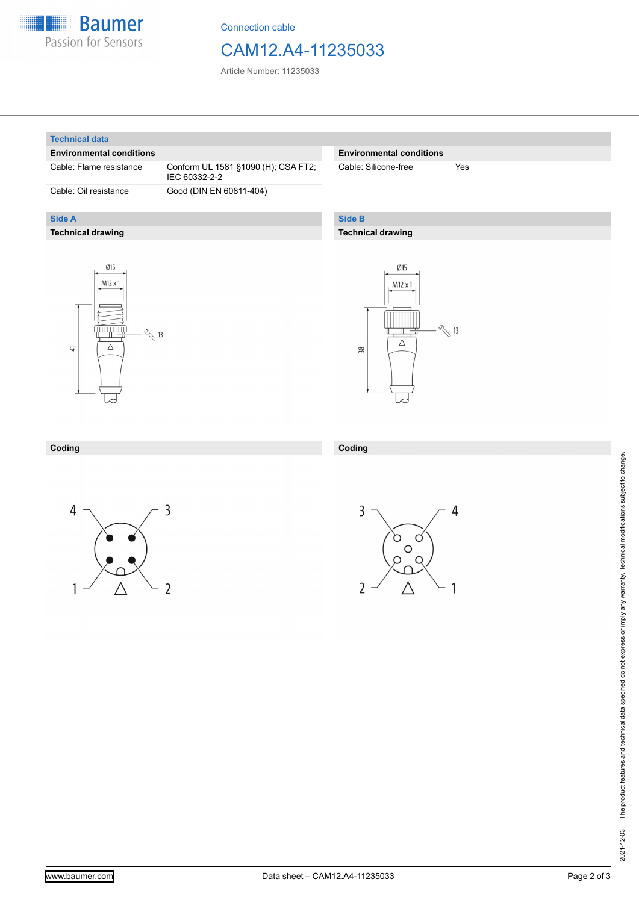

Connection cable

# CAM12.A4-11235033

Article Number: 11235033

### **Technical data**

**Side A**

### **Environmental conditions**

**Technical drawing**

Cable: Flame resistance Conform UL 1581 §1090 (H); CSA FT2; IEC 60332-2-2 Cable: Oil resistance Good (DIN EN 60811-404)

## **Environmental conditions**

Cable: Silicone-free Yes

# **Side B**

**Coding**

# **Technical drawing**





#### **Coding**